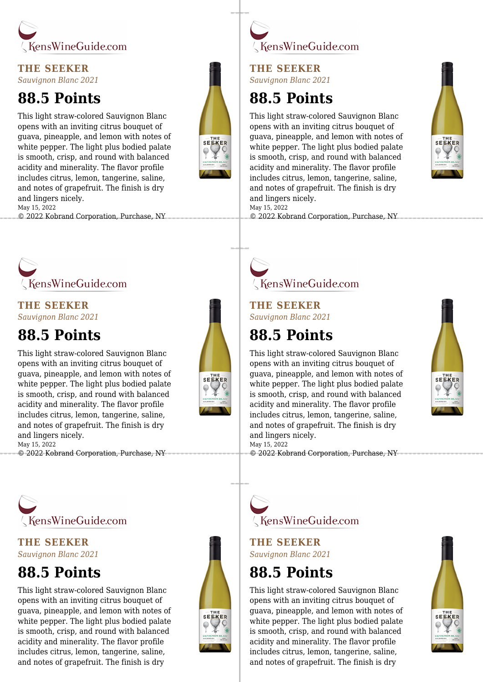

#### **THE SEEKER** *Sauvignon Blanc 2021*

### **88.5 Points**

This light straw-colored Sauvignon Blanc opens with an inviting citrus bouquet of guava, pineapple, and lemon with notes of white pepper. The light plus bodied palate is smooth, crisp, and round with balanced acidity and minerality. The flavor profile includes citrus, lemon, tangerine, saline, and notes of grapefruit. The finish is dry and lingers nicely. May 15, 2022

© 2022 Kobrand Corporation, Purchase, NY



#### **THE SEEKER** *Sauvignon Blanc 2021*

### **88.5 Points**

This light straw-colored Sauvignon Blanc opens with an inviting citrus bouquet of guava, pineapple, and lemon with notes of white pepper. The light plus bodied palate is smooth, crisp, and round with balanced acidity and minerality. The flavor profile includes citrus, lemon, tangerine, saline, and notes of grapefruit. The finish is dry and lingers nicely. May 15, 2022

© 2022 Kobrand Corporation, Purchase, NY





**THE SEEKER** *Sauvignon Blanc 2021*

## **88.5 Points**

This light straw-colored Sauvignon Blanc opens with an inviting citrus bouquet of guava, pineapple, and lemon with notes of white pepper. The light plus bodied palate is smooth, crisp, and round with balanced acidity and minerality. The flavor profile includes citrus, lemon, tangerine, saline, and notes of grapefruit. The finish is dry and lingers nicely. May 15, 2022





KensWineGuide.com

#### **THE SEEKER** *Sauvignon Blanc 2021*

### **88.5 Points**

This light straw-colored Sauvignon Blanc opens with an inviting citrus bouquet of guava, pineapple, and lemon with notes of white pepper. The light plus bodied palate is smooth, crisp, and round with balanced acidity and minerality. The flavor profile includes citrus, lemon, tangerine, saline, and notes of grapefruit. The finish is dry and lingers nicely. May 15, 2022

© 2022 Kobrand Corporation, Purchase, NY



KensWineGuide.com

**THE SEEKER** *Sauvignon Blanc 2021*

# **88.5 Points**

This light straw-colored Sauvignon Blanc opens with an inviting citrus bouquet of guava, pineapple, and lemon with notes of white pepper. The light plus bodied palate is smooth, crisp, and round with balanced acidity and minerality. The flavor profile includes citrus, lemon, tangerine, saline, and notes of grapefruit. The finish is dry



SEEKER



**THE SEEKER** *Sauvignon Blanc 2021*

## **88.5 Points**

This light straw-colored Sauvignon Blanc opens with an inviting citrus bouquet of guava, pineapple, and lemon with notes of white pepper. The light plus bodied palate is smooth, crisp, and round with balanced acidity and minerality. The flavor profile includes citrus, lemon, tangerine, saline, and notes of grapefruit. The finish is dry